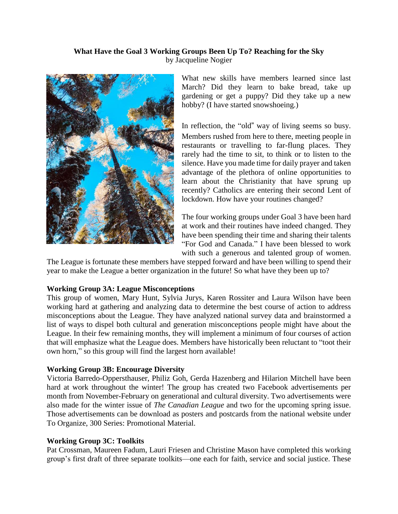### **What Have the Goal 3 Working Groups Been Up To? Reaching for the Sky** by Jacqueline Nogier



What new skills have members learned since last March? Did they learn to bake bread, take up gardening or get a puppy? Did they take up a new hobby? (I have started snowshoeing.)

In reflection, the "old" way of living seems so busy. Members rushed from here to there, meeting people in restaurants or travelling to far-flung places. They rarely had the time to sit, to think or to listen to the silence. Have you made time for daily prayer and taken advantage of the plethora of online opportunities to learn about the Christianity that have sprung up recently? Catholics are entering their second Lent of lockdown. How have your routines changed?

The four working groups under Goal 3 have been hard at work and their routines have indeed changed. They have been spending their time and sharing their talents "For God and Canada." I have been blessed to work with such a generous and talented group of women.

The League is fortunate these members have stepped forward and have been willing to spend their year to make the League a better organization in the future! So what have they been up to?

#### **Working Group 3A: League Misconceptions**

This group of women, Mary Hunt, Sylvia Jurys, Karen Rossiter and Laura Wilson have been working hard at gathering and analyzing data to determine the best course of action to address misconceptions about the League. They have analyzed national survey data and brainstormed a list of ways to dispel both cultural and generation misconceptions people might have about the League. In their few remaining months, they will implement a minimum of four courses of action that will emphasize what the League does. Members have historically been reluctant to "toot their own horn," so this group will find the largest horn available!

# **Working Group 3B: Encourage Diversity**

Victoria Barredo-Oppersthauser, Philiz Goh, Gerda Hazenberg and Hilarion Mitchell have been hard at work throughout the winter! The group has created two Facebook advertisements per month from November-February on generational and cultural diversity. Two advertisements were also made for the winter issue of *The Canadian League* and two for the upcoming spring issue. Those advertisements can be download as posters and postcards from the national website under To Organize, 300 Series: [Promotional](thehttps://cwl.ca/resources/300-series-promotional-material/) Material.

# **Working Group 3C: Toolkits**

Pat Crossman, Maureen Fadum, Lauri Friesen and Christine Mason have completed this working group's first draft of three separate toolkits—one each for faith, service and social justice. These